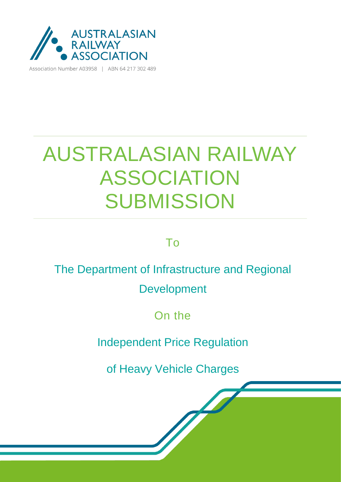

Association Number A03958 | ABN 64 217 302 489

# AUSTRALASIAN RAILWAY ASSOCIATION **SUBMISSION**

To

#### The Department of Infrastructure and Regional

Development

On the

Independent Price Regulation

of Heavy Vehicle Charges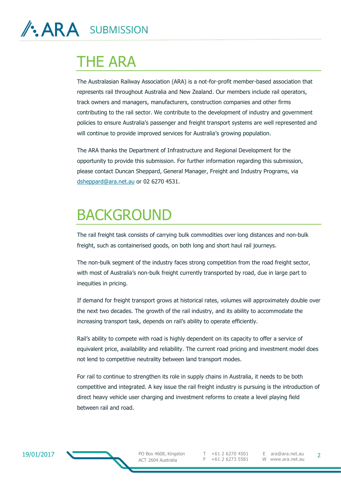## THE ARA

The Australasian Railway Association (ARA) is a not-for-profit member-based association that represents rail throughout Australia and New Zealand. Our members include rail operators, track owners and managers, manufacturers, construction companies and other firms contributing to the rail sector. We contribute to the development of industry and government policies to ensure Australia's passenger and freight transport systems are well represented and will continue to provide improved services for Australia's growing population.

The ARA thanks the Department of Infrastructure and Regional Development for the opportunity to provide this submission. For further information regarding this submission, please contact Duncan Sheppard, General Manager, Freight and Industry Programs, via [dsheppard@ara.net.au](mailto:dsheppard@ara.net.au) or 02 6270 4531.

### BACKGROUND

The rail freight task consists of carrying bulk commodities over long distances and non-bulk freight, such as containerised goods, on both long and short haul rail journeys.

The non-bulk segment of the industry faces strong competition from the road freight sector, with most of Australia's non-bulk freight currently transported by road, due in large part to inequities in pricing.

If demand for freight transport grows at historical rates, volumes will approximately double over the next two decades. The growth of the rail industry, and its ability to accommodate the increasing transport task, depends on rail's ability to operate efficiently.

Rail's ability to compete with road is highly dependent on its capacity to offer a service of equivalent price, availability and reliability. The current road pricing and investment model does not lend to competitive neutrality between land transport modes.

For rail to continue to strengthen its role in supply chains in Australia, it needs to be both competitive and integrated. A key issue the rail freight industry is pursuing is the introduction of direct heavy vehicle user charging and investment reforms to create a level playing field between rail and road.

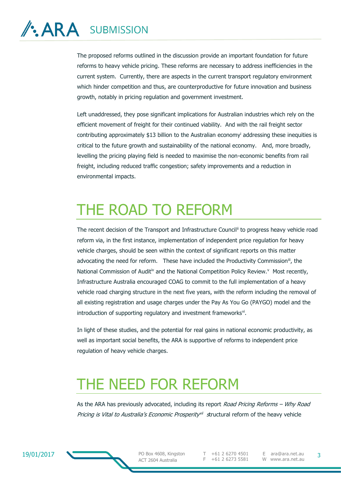# **/: ARA** SUBMISSION

The proposed reforms outlined in the discussion provide an important foundation for future reforms to heavy vehicle pricing. These reforms are necessary to address inefficiencies in the current system. Currently, there are aspects in the current transport regulatory environment which hinder competition and thus, are counterproductive for future innovation and business growth, notably in pricing regulation and government investment.

Left unaddressed, they pose significant implications for Australian industries which rely on the efficient movement of freight for their continued viability. And with the rail freight sector contributing approximately \$13 billion to the Australian economy<sup>i</sup> addressing these inequities is critical to the future growth and sustainability of the national economy. And, more broadly, levelling the pricing playing field is needed to maximise the non-economic benefits from rail freight, including reduced traffic congestion; safety improvements and a reduction in environmental impacts.

## THE ROAD TO REFORM

The recent decision of the Transport and Infrastructure Council<sup>ii</sup> to progress heavy vehicle road reform via, in the first instance, implementation of independent price regulation for heavy vehicle charges, should be seen within the context of significant reports on this matter advocating the need for reform. These have included the Productivity Commission<sup>iii</sup>, the National Commission of Audit<sup>iv</sup> and the National Competition Policy Review.<sup>v</sup> Most recently, Infrastructure Australia encouraged COAG to commit to the full implementation of a heavy vehicle road charging structure in the next five years, with the reform including the removal of all existing registration and usage charges under the Pay As You Go (PAYGO) model and the introduction of supporting regulatory and investment frameworks<sup>vi</sup>.

In light of these studies, and the potential for real gains in national economic productivity, as well as important social benefits, the ARA is supportive of reforms to independent price regulation of heavy vehicle charges.

### THE NEED FOR REFORM

As the ARA has previously advocated, including its report Road Pricing Reforms – Why Road Pricing is Vital to Australia's Economic Prosperity<sup>nii</sup> structural reform of the heavy vehicle



PO Box 4608, Kingston ACT 2604 Australia

T +61 2 6270 4501 F +61 2 6273 5581

E ara@ara.net.au W www.ara.net.au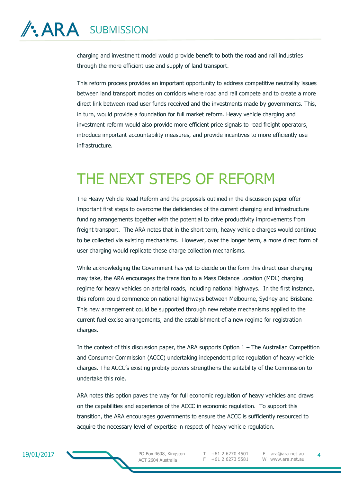# **/: ARA** SUBMISSION

charging and investment model would provide benefit to both the road and rail industries through the more efficient use and supply of land transport.

This reform process provides an important opportunity to address competitive neutrality issues between land transport modes on corridors where road and rail compete and to create a more direct link between road user funds received and the investments made by governments. This, in turn, would provide a foundation for full market reform. Heavy vehicle charging and investment reform would also provide more efficient price signals to road freight operators, introduce important accountability measures, and provide incentives to more efficiently use infrastructure.

## THE NEXT STEPS OF REFORM

The Heavy Vehicle Road Reform and the proposals outlined in the discussion paper offer important first steps to overcome the deficiencies of the current charging and infrastructure funding arrangements together with the potential to drive productivity improvements from freight transport. The ARA notes that in the short term, heavy vehicle charges would continue to be collected via existing mechanisms. However, over the longer term, a more direct form of user charging would replicate these charge collection mechanisms.

While acknowledging the Government has yet to decide on the form this direct user charging may take, the ARA encourages the transition to a Mass Distance Location (MDL) charging regime for heavy vehicles on arterial roads, including national highways. In the first instance, this reform could commence on national highways between Melbourne, Sydney and Brisbane. This new arrangement could be supported through new rebate mechanisms applied to the current fuel excise arrangements, and the establishment of a new regime for registration charges.

In the context of this discussion paper, the ARA supports Option  $1 -$  The Australian Competition and Consumer Commission (ACCC) undertaking independent price regulation of heavy vehicle charges. The ACCC's existing probity powers strengthens the suitability of the Commission to undertake this role.

ARA notes this option paves the way for full economic regulation of heavy vehicles and draws on the capabilities and experience of the ACCC in economic regulation. To support this transition, the ARA encourages governments to ensure the ACCC is sufficiently resourced to acquire the necessary level of expertise in respect of heavy vehicle regulation.



PO Box 4608, Kingston ACT 2604 Australia

T +61 2 6270 4501 F +61 2 6273 5581

E ara@ara.net.au W www.ara.net.au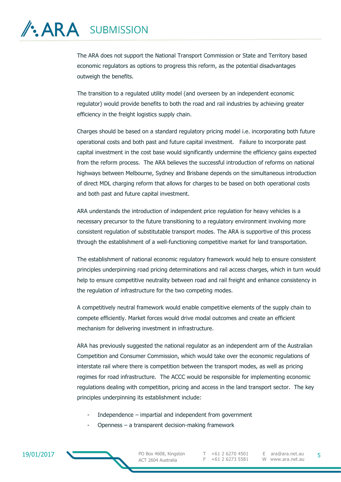# **/: ARA** SUBMISSION

The ARA does not support the National Transport Commission or State and Territory based economic regulators as options to progress this reform, as the potential disadvantages outweigh the benefits.

The transition to a regulated utility model (and overseen by an independent economic regulator) would provide benefits to both the road and rail industries by achieving greater efficiency in the freight logistics supply chain.

Charges should be based on a standard regulatory pricing model i.e. incorporating both future operational costs and both past and future capital investment. Failure to incorporate past capital investment in the cost base would significantly undermine the efficiency gains expected from the reform process. The ARA believes the successful introduction of reforms on national highways between Melbourne, Sydney and Brisbane depends on the simultaneous introduction of direct MDL charging reform that allows for charges to be based on both operational costs and both past and future capital investment.

ARA understands the introduction of independent price regulation for heavy vehicles is a necessary precursor to the future transitioning to a regulatory environment involving more consistent regulation of substitutable transport modes. The ARA is supportive of this process through the establishment of a well-functioning competitive market for land transportation.

The establishment of national economic regulatory framework would help to ensure consistent principles underpinning road pricing determinations and rail access charges, which in turn would help to ensure competitive neutrality between road and rail freight and enhance consistency in the regulation of infrastructure for the two competing modes.

A competitively neutral framework would enable competitive elements of the supply chain to compete efficiently. Market forces would drive modal outcomes and create an efficient mechanism for delivering investment in infrastructure.

ARA has previously suggested the national regulator as an independent arm of the Australian Competition and Consumer Commission, which would take over the economic regulations of interstate rail where there is competition between the transport modes, as well as pricing regimes for road infrastructure. The ACCC would be responsible for implementing economic regulations dealing with competition, pricing and access in the land transport sector. The key principles underpinning its establishment include:

- Independence  $-$  impartial and independent from government
- Openness a transparent decision-making framework



PO Box 4608, Kingston ACT 2604 Australia

T +61 2 6270 4501 F +61 2 6273 5581

E ara@ara.net.au W www.ara.net.au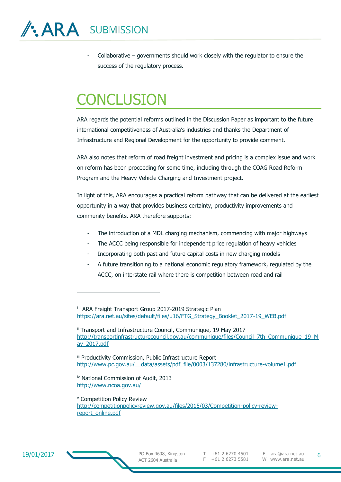-

- Collaborative – governments should work closely with the regulator to ensure the success of the regulatory process.

# **CONCLUSION**

ARA regards the potential reforms outlined in the Discussion Paper as important to the future international competitiveness of Australia's industries and thanks the Department of Infrastructure and Regional Development for the opportunity to provide comment.

ARA also notes that reform of road freight investment and pricing is a complex issue and work on reform has been proceeding for some time, including through the COAG Road Reform Program and the Heavy Vehicle Charging and Investment project.

In light of this, ARA encourages a practical reform pathway that can be delivered at the earliest opportunity in a way that provides business certainty, productivity improvements and community benefits. ARA therefore supports:

- The introduction of a MDL charging mechanism, commencing with major highways
- The ACCC being responsible for independent price regulation of heavy vehicles
- Incorporating both past and future capital costs in new charging models
- A future transitioning to a national economic regulatory framework, regulated by the ACCC, on interstate rail where there is competition between road and rail

<sup>i i</sup> ARA Freight Transport Group 2017-2019 Strategic Plan [https://ara.net.au/sites/default/files/u16/FTG\\_Strategy\\_Booklet\\_2017-19\\_WEB.pdf](https://ara.net.au/sites/default/files/u16/FTG_Strategy_Booklet_2017-19_WEB.pdf)

ii Transport and Infrastructure Council, Communique, 19 May 2017 [http://transportinfrastructurecouncil.gov.au/communique/files/Council\\_7th\\_Communique\\_19\\_M](http://transportinfrastructurecouncil.gov.au/communique/files/Council_7th_Communique_19_May_2017.pdf) [ay\\_2017.pdf](http://transportinfrastructurecouncil.gov.au/communique/files/Council_7th_Communique_19_May_2017.pdf)

iii Productivity Commission, Public Infrastructure Report http://www.pc.gov.au/ data/assets/pdf file/0003/137280/infrastructure-volume1.pdf

iv National Commission of Audit, 2013 <http://www.ncoa.gov.au/>

<sup>v</sup> Competition Policy Review [http://competitionpolicyreview.gov.au/files/2015/03/Competition-policy-review](http://competitionpolicyreview.gov.au/files/2015/03/Competition-policy-review-report_online.pdf)[report\\_online.pdf](http://competitionpolicyreview.gov.au/files/2015/03/Competition-policy-review-report_online.pdf)